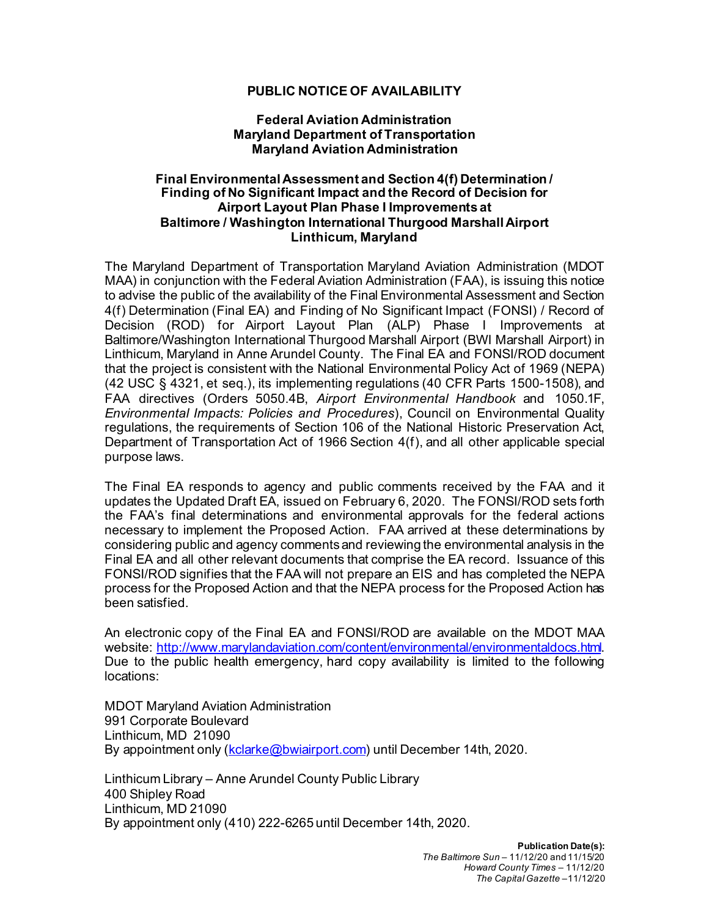## **PUBLIC NOTICE OF AVAILABILITY**

## **Federal Aviation Administration Maryland Department of Transportation Maryland Aviation Administration**

## **Final Environmental Assessment and Section 4(f) Determination / Finding of No Significant Impact and the Record of Decision for Airport Layout Plan Phase I Improvements at Baltimore / Washington International Thurgood Marshall Airport Linthicum, Maryland**

The Maryland Department of Transportation Maryland Aviation Administration (MDOT MAA) in conjunction with the Federal Aviation Administration (FAA), is issuing this notice to advise the public of the availability of the Final Environmental Assessment and Section 4(f) Determination (Final EA) and Finding of No Significant Impact (FONSI) / Record of Decision (ROD) for Airport Layout Plan (ALP) Phase I Improvements at Baltimore/Washington International Thurgood Marshall Airport (BWI Marshall Airport) in Linthicum, Maryland in Anne Arundel County. The Final EA and FONSI/ROD document that the project is consistent with the National Environmental Policy Act of 1969 (NEPA) (42 USC § 4321, et seq.), its implementing regulations (40 CFR Parts 1500-1508), and FAA directives (Orders 5050.4B, *Airport Environmental Handbook* and 1050.1F, *Environmental Impacts: Policies and Procedures*), Council on Environmental Quality regulations, the requirements of Section 106 of the National Historic Preservation Act, Department of Transportation Act of 1966 Section 4(f), and all other applicable special purpose laws.

The Final EA responds to agency and public comments received by the FAA and it updates the Updated Draft EA, issued on February 6, 2020. The FONSI/ROD sets forth the FAA's final determinations and environmental approvals for the federal actions necessary to implement the Proposed Action. FAA arrived at these determinations by considering public and agency comments and reviewing the environmental analysis in the Final EA and all other relevant documents that comprise the EA record. Issuance of this FONSI/ROD signifies that the FAA will not prepare an EIS and has completed the NEPA process for the Proposed Action and that the NEPA process for the Proposed Action has been satisfied.

An electronic copy of the Final EA and FONSI/ROD are available on the MDOT MAA website: [http://www.marylandaviation.com/content/environmental/environmentaldocs.html.](http://www.marylandaviation.com/content/environmental/environmentaldocs.html) Due to the public health emergency, hard copy availability is limited to the following locations:

MDOT Maryland Aviation Administration 991 Corporate Boulevard Linthicum, MD 21090 By appointment only [\(kclarke@bwiairport.com](mailto:kclarke@bwiairport.com)) until December 14th, 2020.

Linthicum Library – Anne Arundel County Public Library 400 Shipley Road Linthicum, MD 21090 By appointment only (410) 222-6265 until December 14th, 2020.